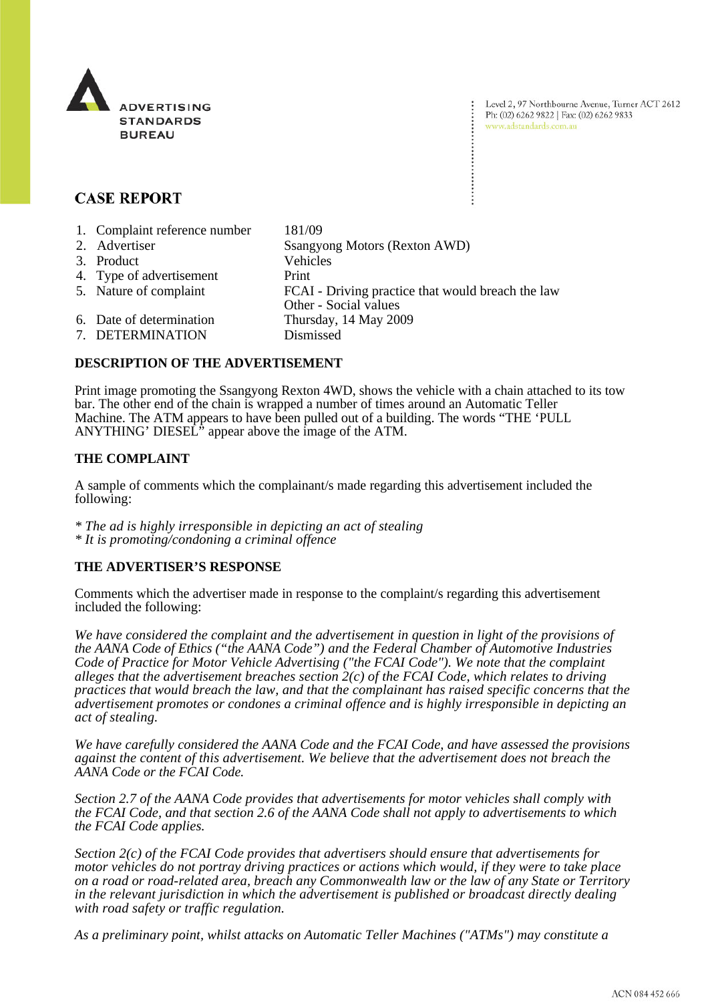

Level 2, 97 Northbourne Avenue, Turner ACT 2612 Ph: (02) 6262 9822 | Fax: (02) 6262 9833 www.adstandards.com.au

# **CASE REPORT**

| 1. Complaint reference number | 181/09                                            |
|-------------------------------|---------------------------------------------------|
| 2. Advertiser                 | Ssangyong Motors (Rexton AWD)                     |
| 3. Product                    | <b>Vehicles</b>                                   |
| 4. Type of advertisement      | Print                                             |
| 5. Nature of complaint        | FCAI - Driving practice that would breach the law |
|                               | Other - Social values                             |
| 6. Date of determination      | Thursday, 14 May 2009                             |
| 7. DETERMINATION              | Dismissed                                         |

## **DESCRIPTION OF THE ADVERTISEMENT**

Print image promoting the Ssangyong Rexton 4WD, shows the vehicle with a chain attached to its tow bar. The other end of the chain is wrapped a number of times around an Automatic Teller Machine. The ATM appears to have been pulled out of a building. The words "THE 'PULL ANYTHING' DIESEL<sup>"</sup> appear above the image of the ATM.

### **THE COMPLAINT**

A sample of comments which the complainant/s made regarding this advertisement included the following:

*\* The ad is highly irresponsible in depicting an act of stealing \* It is promoting/condoning a criminal offence*

### **THE ADVERTISER'S RESPONSE**

Comments which the advertiser made in response to the complaint/s regarding this advertisement included the following:

We have considered the complaint and the advertisement in question in light of the provisions of *the AANA Code of Ethics ("the AANA Code") and the Federal Chamber of Automotive Industries Code of Practice for Motor Vehicle Advertising ("the FCAI Code"). We note that the complaint alleges that the advertisement breaches section 2(c) of the FCAI Code, which relates to driving practices that would breach the law, and that the complainant has raised specific concerns that the advertisement promotes or condones a criminal offence and is highly irresponsible in depicting an act of stealing.*

*We have carefully considered the AANA Code and the FCAI Code, and have assessed the provisions against the content of this advertisement. We believe that the advertisement does not breach the AANA Code or the FCAI Code.*

*Section 2.7 of the AANA Code provides that advertisements for motor vehicles shall comply with the FCAI Code, and that section 2.6 of the AANA Code shall not apply to advertisements to which the FCAI Code applies.*

*Section 2(c) of the FCAI Code provides that advertisers should ensure that advertisements for motor vehicles do not portray driving practices or actions which would, if they were to take place on a road or road-related area, breach any Commonwealth law or the law of any State or Territory in the relevant jurisdiction in which the advertisement is published or broadcast directly dealing with road safety or traffic regulation.*

*As a preliminary point, whilst attacks on Automatic Teller Machines ("ATMs") may constitute a*